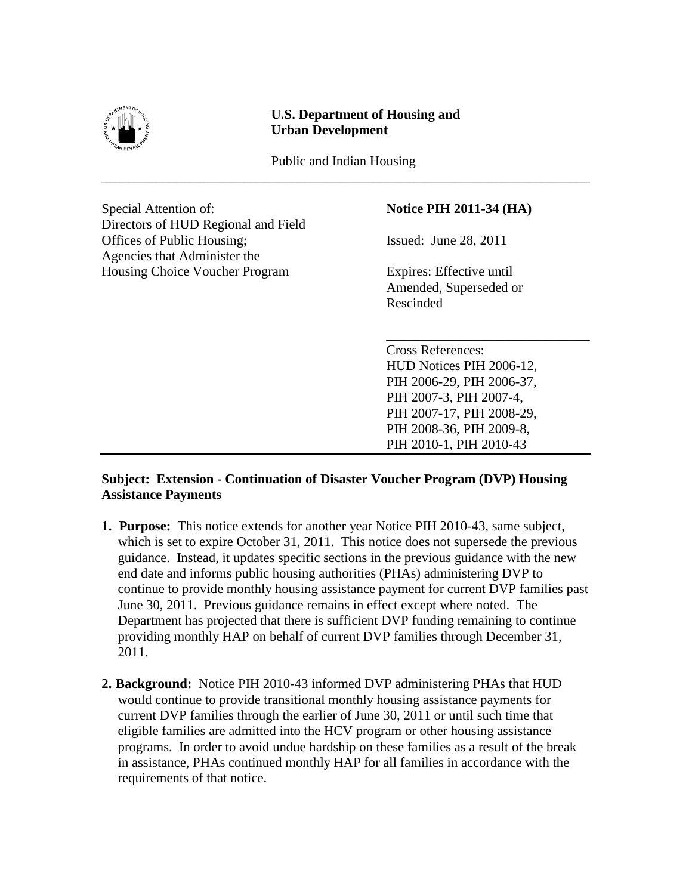

## **U.S. Department of Housing and Urban Development**

Public and Indian Housing \_\_\_\_\_\_\_\_\_\_\_\_\_\_\_\_\_\_\_\_\_\_\_\_\_\_\_\_\_\_\_\_\_\_\_\_\_\_\_\_\_\_\_\_\_\_\_\_\_\_\_\_\_\_\_\_\_\_\_\_\_\_\_\_\_\_\_\_\_\_\_\_

Special Attention of: **Notice PIH 2011-34 (HA)** Directors of HUD Regional and Field Offices of Public Housing; Issued: June 28, 2011 Agencies that Administer the Housing Choice Voucher Program Expires: Effective until

Amended, Superseded or Rescinded

Cross References: HUD Notices PIH 2006-12, PIH 2006-29, PIH 2006-37, PIH 2007-3, PIH 2007-4, PIH 2007-17, PIH 2008-29, PIH 2008-36, PIH 2009-8, PIH 2010-1, PIH 2010-43

\_\_\_\_\_\_\_\_\_\_\_\_\_\_\_\_\_\_\_\_\_\_\_\_\_\_\_\_\_\_

## **Subject: Extension - Continuation of Disaster Voucher Program (DVP) Housing Assistance Payments**

- **1. Purpose:** This notice extends for another year Notice PIH 2010-43, same subject, which is set to expire October 31, 2011. This notice does not supersede the previous guidance. Instead, it updates specific sections in the previous guidance with the new end date and informs public housing authorities (PHAs) administering DVP to continue to provide monthly housing assistance payment for current DVP families past June 30, 2011. Previous guidance remains in effect except where noted. The Department has projected that there is sufficient DVP funding remaining to continue providing monthly HAP on behalf of current DVP families through December 31, 2011.
- **2. Background:** Notice PIH 2010-43 informed DVP administering PHAs that HUD would continue to provide transitional monthly housing assistance payments for current DVP families through the earlier of June 30, 2011 or until such time that eligible families are admitted into the HCV program or other housing assistance programs. In order to avoid undue hardship on these families as a result of the break in assistance, PHAs continued monthly HAP for all families in accordance with the requirements of that notice.